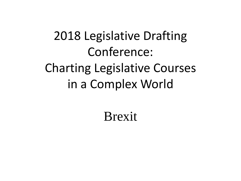#### 2018 Legislative Drafting Conference: Charting Legislative Courses in a Complex World

#### Brexit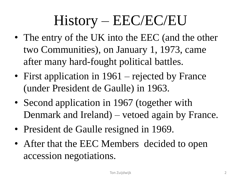# History – EEC/EC/EU

- The entry of the UK into the EEC (and the other two Communities), on January 1, 1973, came after many hard-fought political battles.
- First application in 1961 rejected by France (under President de Gaulle) in 1963.
- Second application in 1967 (together with Denmark and Ireland) – vetoed again by France.
- President de Gaulle resigned in 1969.
- After that the EEC Members decided to open accession negotiations.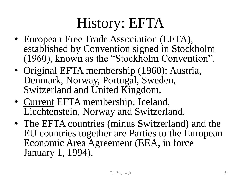# History: EFTA

- European Free Trade Association (EFTA), established by Convention signed in Stockholm (1960), known as the "Stockholm Convention".
- Original EFTA membership (1960): Austria, Denmark, Norway, Portugal, Sweden, Switzerland and United Kingdom.
- Current EFTA membership: Iceland, Liechtenstein, Norway and Switzerland.
- The EFTA countries (minus Switzerland) and the EU countries together are Parties to the European Economic Area Agreement (EEA, in force January 1, 1994).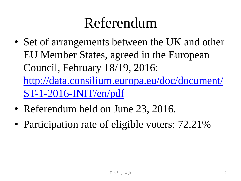#### Referendum

- Set of arrangements between the UK and other EU Member States, agreed in the European Council, February 18/19, 2016: [http://data.consilium.europa.eu/doc/document/](http://data.consilium.europa.eu/doc/document/ST-1-2016-INIT/en/pdf) ST-1-2016-INIT/en/pdf
- Referendum held on June 23, 2016.
- Participation rate of eligible voters: 72.21%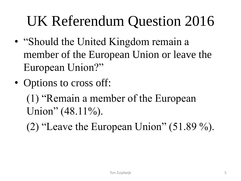# UK Referendum Question 2016

- "Should the United Kingdom remain a member of the European Union or leave the European Union?"
- Options to cross off:

(1) "Remain a member of the European Union"  $(48.11\%)$ .

(2) "Leave the European Union"  $(51.89\%)$ .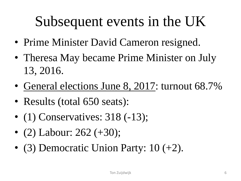## Subsequent events in the UK

- Prime Minister David Cameron resigned.
- Theresa May became Prime Minister on July 13, 2016.
- General elections June 8, 2017: turnout 68.7%
- Results (total 650 seats):
- (1) Conservatives:  $318$  (-13);
- (2) Labour:  $262 (+30);$
- (3) Democratic Union Party:  $10 (+2)$ .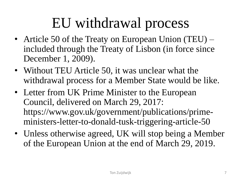### EU withdrawal process

- Article 50 of the Treaty on European Union (TEU) included through the Treaty of Lisbon (in force since December 1, 2009).
- Without TEU Article 50, it was unclear what the withdrawal process for a Member State would be like.
- Letter from UK Prime Minister to the European Council, delivered on March 29, 2017: https://www.gov.uk/government/publications/primeministers-letter-to-donald-tusk-triggering-article-50
- Unless otherwise agreed, UK will stop being a Member of the European Union at the end of March 29, 2019.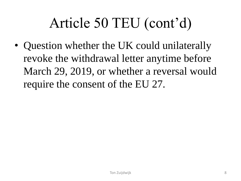# Article 50 TEU (cont'd)

• Question whether the UK could unilaterally revoke the withdrawal letter anytime before March 29, 2019, or whether a reversal would require the consent of the EU 27.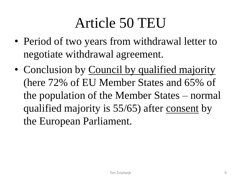### Article 50 TEU

- Period of two years from withdrawal letter to negotiate withdrawal agreement.
- Conclusion by Council by qualified majority (here 72% of EU Member States and 65% of the population of the Member States – normal qualified majority is 55/65) after consent by the European Parliament.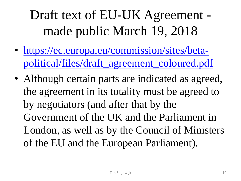Draft text of EU-UK Agreement made public March 19, 2018

- https://ec.europa.eu/commission/sites/beta[political/files/draft\\_agreement\\_coloured.pdf](https://ec.europa.eu/commission/sites/beta-political/files/draft_agreement_coloured.pdf)
- Although certain parts are indicated as agreed, the agreement in its totality must be agreed to by negotiators (and after that by the Government of the UK and the Parliament in London, as well as by the Council of Ministers of the EU and the European Parliament).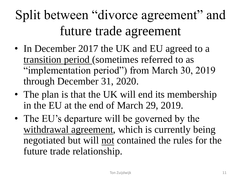### Split between "divorce agreement" and future trade agreement

- In December 2017 the UK and EU agreed to a transition period (sometimes referred to as "implementation period") from March 30, 2019 through December 31, 2020.
- The plan is that the UK will end its membership in the EU at the end of March 29, 2019.
- The EU's departure will be governed by the withdrawal agreement, which is currently being negotiated but will not contained the rules for the future trade relationship.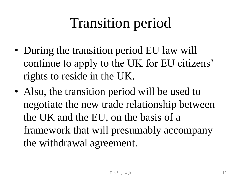# Transition period

- During the transition period EU law will continue to apply to the UK for EU citizens' rights to reside in the UK.
- Also, the transition period will be used to negotiate the new trade relationship between the UK and the EU, on the basis of a framework that will presumably accompany the withdrawal agreement.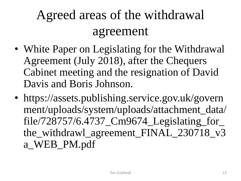#### Agreed areas of the withdrawal agreement

- White Paper on Legislating for the Withdrawal Agreement (July 2018), after the Chequers Cabinet meeting and the resignation of David Davis and Boris Johnson.
- https://assets.publishing.service.gov.uk/govern ment/uploads/system/uploads/attachment\_data/ file/728757/6.4737\_Cm9674\_Legislating\_for\_ the\_withdrawl\_agreement\_FINAL\_230718\_v3 a\_WEB\_PM.pdf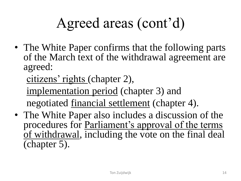# Agreed areas (cont'd)

• The White Paper confirms that the following parts of the March text of the withdrawal agreement are agreed:

citizens' rights (chapter 2),

implementation period (chapter 3) and negotiated financial settlement (chapter 4).

• The White Paper also includes a discussion of the procedures for Parliament's approval of the terms of withdrawal, including the vote on the final deal (chapter 5).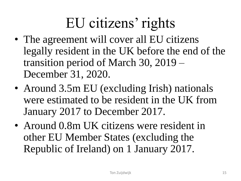# EU citizens' rights

- The agreement will cover all EU citizens legally resident in the UK before the end of the transition period of March 30, 2019 – December 31, 2020.
- Around 3.5m EU (excluding Irish) nationals were estimated to be resident in the UK from January 2017 to December 2017.
- Around 0.8m UK citizens were resident in other EU Member States (excluding the Republic of Ireland) on 1 January 2017.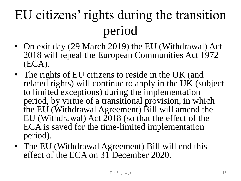## EU citizens' rights during the transition period

- On exit day (29 March 2019) the EU (Withdrawal) Act 2018 will repeal the European Communities Act 1972 (ECA).
- The rights of EU citizens to reside in the UK (and related rights) will continue to apply in the UK (subject to limited exceptions) during the implementation period, by virtue of a transitional provision, in which the EU (Withdrawal Agreement) Bill will amend the EU (Withdrawal) Act 2018 (so that the effect of the ECA is saved for the time-limited implementation period).
- The EU (Withdrawal Agreement) Bill will end this effect of the ECA on 31 December 2020.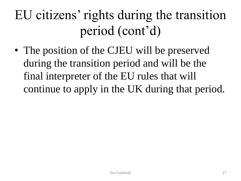### EU citizens' rights during the transition period (cont'd)

• The position of the CJEU will be preserved during the transition period and will be the final interpreter of the EU rules that will continue to apply in the UK during that period.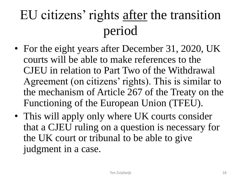### EU citizens' rights after the transition period

- For the eight years after December 31, 2020, UK courts will be able to make references to the CJEU in relation to Part Two of the Withdrawal Agreement (on citizens' rights). This is similar to the mechanism of Article 267 of the Treaty on the Functioning of the European Union (TFEU).
- This will apply only where UK courts consider that a CJEU ruling on a question is necessary for the UK court or tribunal to be able to give judgment in a case.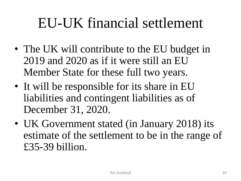#### EU-UK financial settlement

- The UK will contribute to the EU budget in 2019 and 2020 as if it were still an EU Member State for these full two years.
- It will be responsible for its share in EU liabilities and contingent liabilities as of December 31, 2020.
- UK Government stated (in January 2018) its estimate of the settlement to be in the range of £35-39 billion.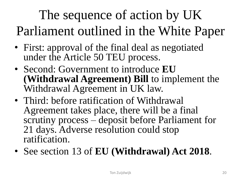### The sequence of action by UK Parliament outlined in the White Paper

- First: approval of the final deal as negotiated under the Article 50 TEU process.
- Second: Government to introduce **EU (Withdrawal Agreement) Bill** to implement the Withdrawal Agreement in UK law.
- Third: before ratification of Withdrawal Agreement takes place, there will be a final scrutiny process – deposit before Parliament for 21 days. Adverse resolution could stop ratification.
- See section 13 of **EU (Withdrawal) Act 2018**.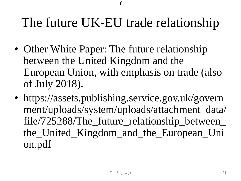#### The future UK-EU trade relationship

 $\overline{\phantom{a}}$ 

- Other White Paper: The future relationship between the United Kingdom and the European Union, with emphasis on trade (also of July 2018).
- https://assets.publishing.service.gov.uk/govern ment/uploads/system/uploads/attachment\_data/ file/725288/The\_future\_relationship\_between\_ the\_United\_Kingdom\_and\_the\_European\_Uni on.pdf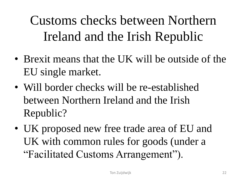Customs checks between Northern Ireland and the Irish Republic

- Brexit means that the UK will be outside of the EU single market.
- Will border checks will be re-established between Northern Ireland and the Irish Republic?
- UK proposed new free trade area of EU and UK with common rules for goods (under a "Facilitated Customs Arrangement").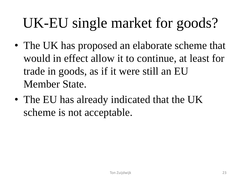# UK-EU single market for goods?

- The UK has proposed an elaborate scheme that would in effect allow it to continue, at least for trade in goods, as if it were still an EU Member State.
- The EU has already indicated that the UK scheme is not acceptable.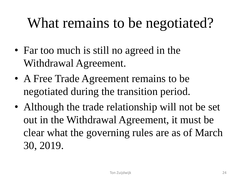# What remains to be negotiated?

- Far too much is still no agreed in the Withdrawal Agreement.
- A Free Trade Agreement remains to be negotiated during the transition period.
- Although the trade relationship will not be set out in the Withdrawal Agreement, it must be clear what the governing rules are as of March 30, 2019.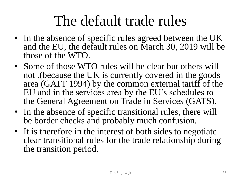#### The default trade rules

- In the absence of specific rules agreed between the UK and the EU, the default rules on March 30, 2019 will be those of the WTO.
- Some of those WTO rules will be clear but others will not .(because the UK is currently covered in the goods area (GATT 1994) by the common external tariff of the EU and in the services area by the EU's schedules to the General Agreement on Trade in Services (GATS).
- In the absence of specific transitional rules, there will be border checks and probably much confusion.
- It is therefore in the interest of both sides to negotiate clear transitional rules for the trade relationship during the transition period.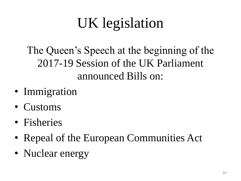# UK legislation

The Queen's Speech at the beginning of the 2017-19 Session of the UK Parliament announced Bills on:

- Immigration
- Customs
- Fisheries
- Repeal of the European Communities Act
- Nuclear energy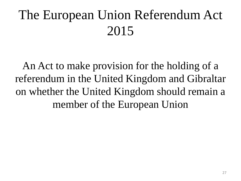#### The European Union Referendum Act 2015

An Act to make provision for the holding of a referendum in the United Kingdom and Gibraltar on whether the United Kingdom should remain a member of the European Union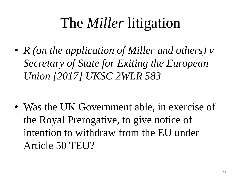## The *Miller* litigation

• *R (on the application of Miller and others) v Secretary of State for Exiting the European Union [2017] UKSC 2WLR 583*

• Was the UK Government able, in exercise of the Royal Prerogative, to give notice of intention to withdraw from the EU under Article 50 TEU?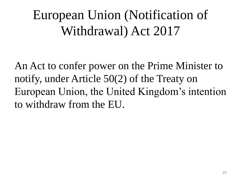#### European Union (Notification of Withdrawal) Act 2017

An Act to confer power on the Prime Minister to notify, under Article 50(2) of the Treaty on European Union, the United Kingdom's intention to withdraw from the EU.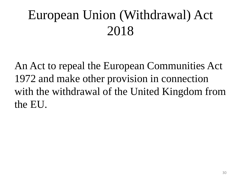#### European Union (Withdrawal) Act 2018

An Act to repeal the European Communities Act 1972 and make other provision in connection with the withdrawal of the United Kingdom from the EU.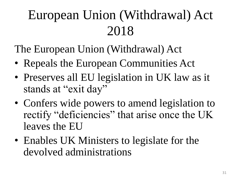### European Union (Withdrawal) Act 2018

The European Union (Withdrawal) Act

- Repeals the European Communities Act
- Preserves all EU legislation in UK law as it stands at "exit day"
- Confers wide powers to amend legislation to rectify "deficiencies" that arise once the UK leaves the EU
- Enables UK Ministers to legislate for the devolved administrations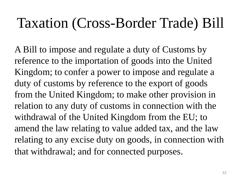#### Taxation (Cross-Border Trade) Bill

A Bill to impose and regulate a duty of Customs by reference to the importation of goods into the United Kingdom; to confer a power to impose and regulate a duty of customs by reference to the export of goods from the United Kingdom; to make other provision in relation to any duty of customs in connection with the withdrawal of the United Kingdom from the EU; to amend the law relating to value added tax, and the law relating to any excise duty on goods, in connection with that withdrawal; and for connected purposes.